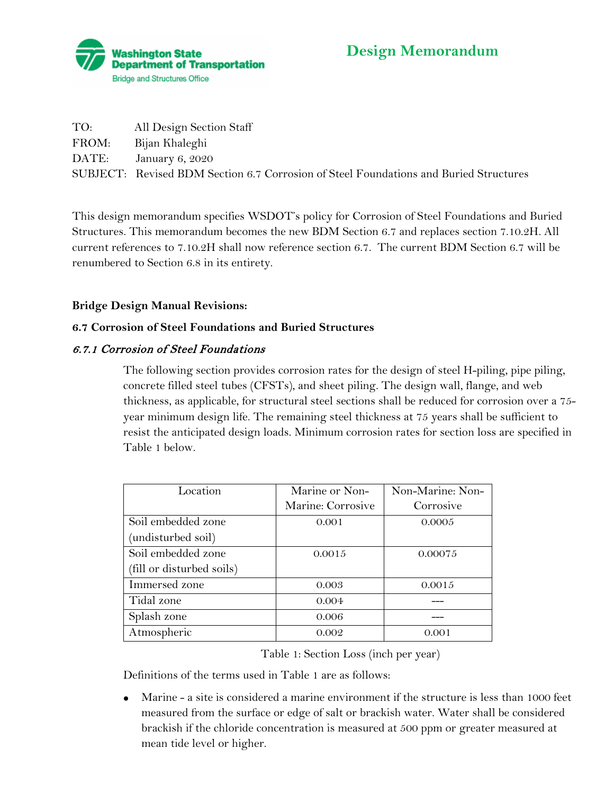

# **Design Memorandum**

| TO:   | All Design Section Staff                                                              |
|-------|---------------------------------------------------------------------------------------|
| FROM: | Bijan Khaleghi                                                                        |
|       | DATE: January 6, 2020                                                                 |
|       | SUBJECT: Revised BDM Section 6.7 Corrosion of Steel Foundations and Buried Structures |

This design memorandum specifies WSDOT's policy for Corrosion of Steel Foundations and Buried Structures. This memorandum becomes the new BDM Section 6.7 and replaces section 7.10.2H. All current references to 7.10.2H shall now reference section 6.7. The current BDM Section 6.7 will be renumbered to Section 6.8 in its entirety.

# **Bridge Design Manual Revisions:**

## **6.7 Corrosion of Steel Foundations and Buried Structures**

# 6.7.1 Corrosion of Steel Foundations

The following section provides corrosion rates for the design of steel H-piling, pipe piling, concrete filled steel tubes (CFSTs), and sheet piling. The design wall, flange, and web thickness, as applicable, for structural steel sections shall be reduced for corrosion over a 75 year minimum design life. The remaining steel thickness at 75 years shall be sufficient to resist the anticipated design loads. Minimum corrosion rates for section loss are specified in Table 1 below.

| Location                  | Marine or Non-    | Non-Marine: Non- |
|---------------------------|-------------------|------------------|
|                           | Marine: Corrosive | Corrosive        |
| Soil embedded zone        | 0.001             | 0.0005           |
| (undisturbed soil)        |                   |                  |
| Soil embedded zone        | 0.0015            | 0.00075          |
| (fill or disturbed soils) |                   |                  |
| Immersed zone             | 0.003             | 0.0015           |
| Tidal zone                | 0.004             |                  |
| Splash zone               | 0.006             |                  |
| Atmospheric               | 0.002             | 0.001            |

Table 1: Section Loss (inch per year)

Definitions of the terms used in Table 1 are as follows:

• Marine - a site is considered a marine environment if the structure is less than 1000 feet measured from the surface or edge of salt or brackish water. Water shall be considered brackish if the chloride concentration is measured at 500 ppm or greater measured at mean tide level or higher.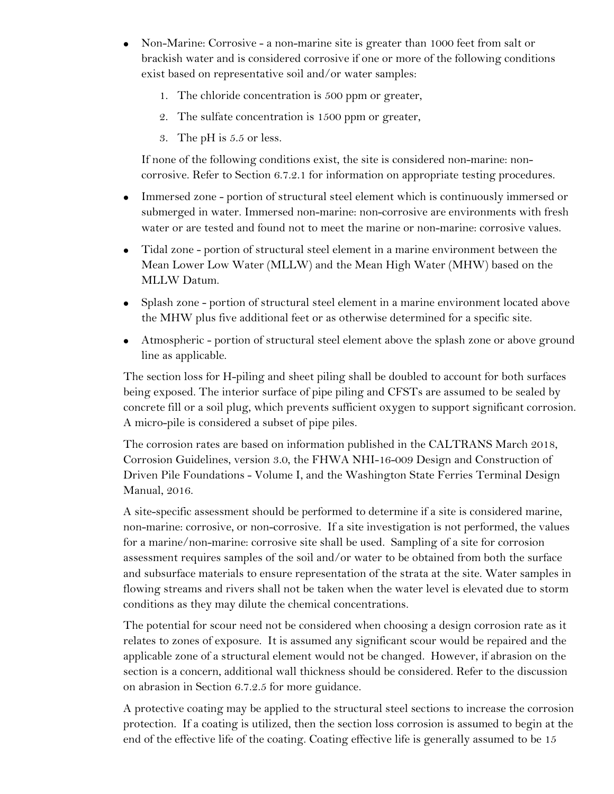- Non-Marine: Corrosive a non-marine site is greater than 1000 feet from salt or brackish water and is considered corrosive if one or more of the following conditions exist based on representative soil and/or water samples:
	- 1. The chloride concentration is 500 ppm or greater,
	- 2. The sulfate concentration is 1500 ppm or greater,
	- 3. The pH is 5.5 or less.

If none of the following conditions exist, the site is considered non-marine: noncorrosive. Refer to Section 6.7.2.1 for information on appropriate testing procedures.

- Immersed zone portion of structural steel element which is continuously immersed or submerged in water. Immersed non-marine: non-corrosive are environments with fresh water or are tested and found not to meet the marine or non-marine: corrosive values.
- Tidal zone portion of structural steel element in a marine environment between the Mean Lower Low Water (MLLW) and the Mean High Water (MHW) based on the MLLW Datum.
- Splash zone portion of structural steel element in a marine environment located above the MHW plus five additional feet or as otherwise determined for a specific site.
- Atmospheric portion of structural steel element above the splash zone or above ground line as applicable.

The section loss for H-piling and sheet piling shall be doubled to account for both surfaces being exposed. The interior surface of pipe piling and CFSTs are assumed to be sealed by concrete fill or a soil plug, which prevents sufficient oxygen to support significant corrosion. A micro-pile is considered a subset of pipe piles.

The corrosion rates are based on information published in the CALTRANS March 2018, Corrosion Guidelines, version 3.0, the FHWA NHI-16-009 Design and Construction of Driven Pile Foundations - Volume I, and the Washington State Ferries Terminal Design Manual, 2016.

A site-specific assessment should be performed to determine if a site is considered marine, non-marine: corrosive, or non-corrosive. If a site investigation is not performed, the values for a marine/non-marine: corrosive site shall be used. Sampling of a site for corrosion assessment requires samples of the soil and/or water to be obtained from both the surface and subsurface materials to ensure representation of the strata at the site. Water samples in flowing streams and rivers shall not be taken when the water level is elevated due to storm conditions as they may dilute the chemical concentrations.

The potential for scour need not be considered when choosing a design corrosion rate as it relates to zones of exposure. It is assumed any significant scour would be repaired and the applicable zone of a structural element would not be changed. However, if abrasion on the section is a concern, additional wall thickness should be considered. Refer to the discussion on abrasion in Section 6.7.2.5 for more guidance.

A protective coating may be applied to the structural steel sections to increase the corrosion protection. If a coating is utilized, then the section loss corrosion is assumed to begin at the end of the effective life of the coating. Coating effective life is generally assumed to be 15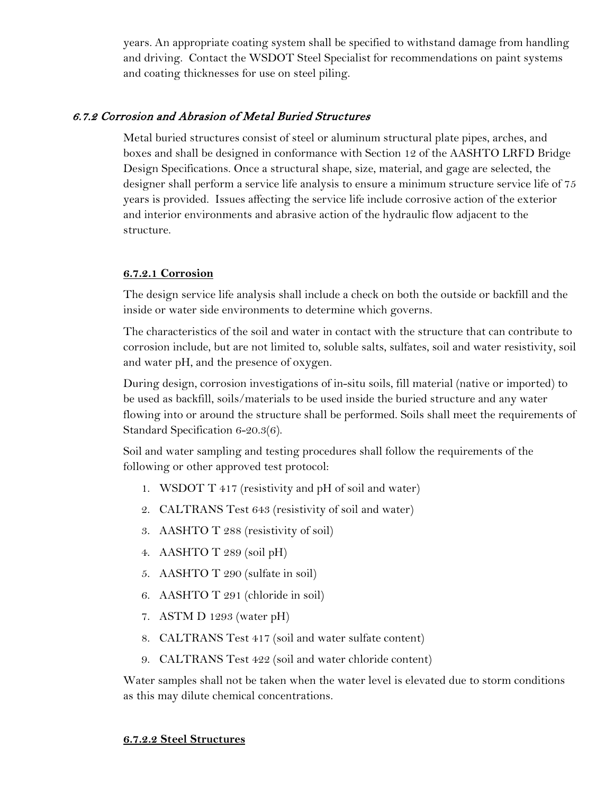years. An appropriate coating system shall be specified to withstand damage from handling and driving. Contact the WSDOT Steel Specialist for recommendations on paint systems and coating thicknesses for use on steel piling.

# 6.7.2 Corrosion and Abrasion of Metal Buried Structures

Metal buried structures consist of steel or aluminum structural plate pipes, arches, and boxes and shall be designed in conformance with Section 12 of the AASHTO LRFD Bridge Design Specifications. Once a structural shape, size, material, and gage are selected, the designer shall perform a service life analysis to ensure a minimum structure service life of 75 years is provided. Issues affecting the service life include corrosive action of the exterior and interior environments and abrasive action of the hydraulic flow adjacent to the structure.

## **6.7.2.1 Corrosion**

The design service life analysis shall include a check on both the outside or backfill and the inside or water side environments to determine which governs.

The characteristics of the soil and water in contact with the structure that can contribute to corrosion include, but are not limited to, soluble salts, sulfates, soil and water resistivity, soil and water pH, and the presence of oxygen.

During design, corrosion investigations of in-situ soils, fill material (native or imported) to be used as backfill, soils/materials to be used inside the buried structure and any water flowing into or around the structure shall be performed. Soils shall meet the requirements of Standard Specification 6-20.3(6).

Soil and water sampling and testing procedures shall follow the requirements of the following or other approved test protocol:

- 1. WSDOT T 417 (resistivity and pH of soil and water)
- 2. CALTRANS Test 643 (resistivity of soil and water)
- 3. AASHTO T 288 (resistivity of soil)
- 4. AASHTO T 289 (soil pH)
- 5. AASHTO T 290 (sulfate in soil)
- 6. AASHTO T 291 (chloride in soil)
- 7. ASTM D 1293 (water pH)
- 8. CALTRANS Test 417 (soil and water sulfate content)
- 9. CALTRANS Test 422 (soil and water chloride content)

Water samples shall not be taken when the water level is elevated due to storm conditions as this may dilute chemical concentrations.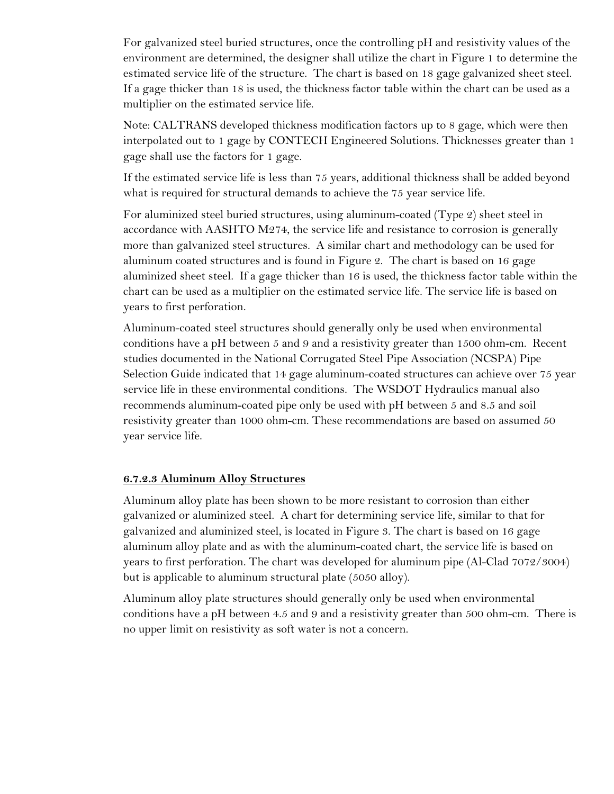For galvanized steel buried structures, once the controlling pH and resistivity values of the environment are determined, the designer shall utilize the chart in Figure 1 to determine the estimated service life of the structure. The chart is based on 18 gage galvanized sheet steel. If a gage thicker than 18 is used, the thickness factor table within the chart can be used as a multiplier on the estimated service life.

Note: CALTRANS developed thickness modification factors up to 8 gage, which were then interpolated out to 1 gage by CONTECH Engineered Solutions. Thicknesses greater than 1 gage shall use the factors for 1 gage.

If the estimated service life is less than 75 years, additional thickness shall be added beyond what is required for structural demands to achieve the 75 year service life.

For aluminized steel buried structures, using aluminum-coated (Type 2) sheet steel in accordance with AASHTO M274, the service life and resistance to corrosion is generally more than galvanized steel structures. A similar chart and methodology can be used for aluminum coated structures and is found in Figure 2. The chart is based on 16 gage aluminized sheet steel. If a gage thicker than 16 is used, the thickness factor table within the chart can be used as a multiplier on the estimated service life. The service life is based on years to first perforation.

Aluminum-coated steel structures should generally only be used when environmental conditions have a pH between 5 and 9 and a resistivity greater than 1500 ohm-cm. Recent studies documented in the National Corrugated Steel Pipe Association (NCSPA) Pipe Selection Guide indicated that 14 gage aluminum-coated structures can achieve over 75 year service life in these environmental conditions. The WSDOT Hydraulics manual also recommends aluminum-coated pipe only be used with pH between 5 and 8.5 and soil resistivity greater than 1000 ohm-cm. These recommendations are based on assumed 50 year service life.

#### **6.7.2.3 Aluminum Alloy Structures**

Aluminum alloy plate has been shown to be more resistant to corrosion than either galvanized or aluminized steel. A chart for determining service life, similar to that for galvanized and aluminized steel, is located in Figure 3. The chart is based on 16 gage aluminum alloy plate and as with the aluminum-coated chart, the service life is based on years to first perforation. The chart was developed for aluminum pipe (Al-Clad 7072/3004) but is applicable to aluminum structural plate (5050 alloy).

Aluminum alloy plate structures should generally only be used when environmental conditions have a pH between 4.5 and 9 and a resistivity greater than 500 ohm-cm. There is no upper limit on resistivity as soft water is not a concern.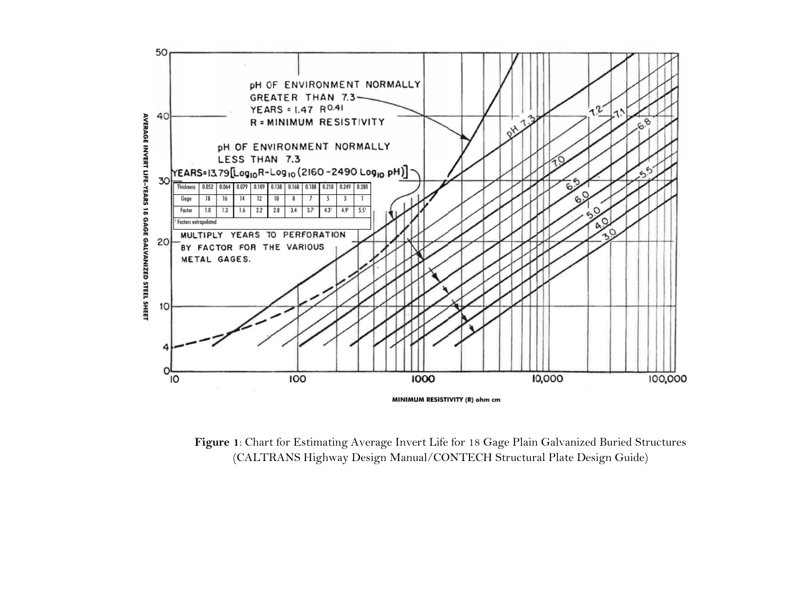

**Figure 1**: Chart for Estimating Average Invert Life for 18 Gage Plain Galvanized Buried Structures (CALTRANS Highway Design Manual/CONTECH Structural Plate Design Guide)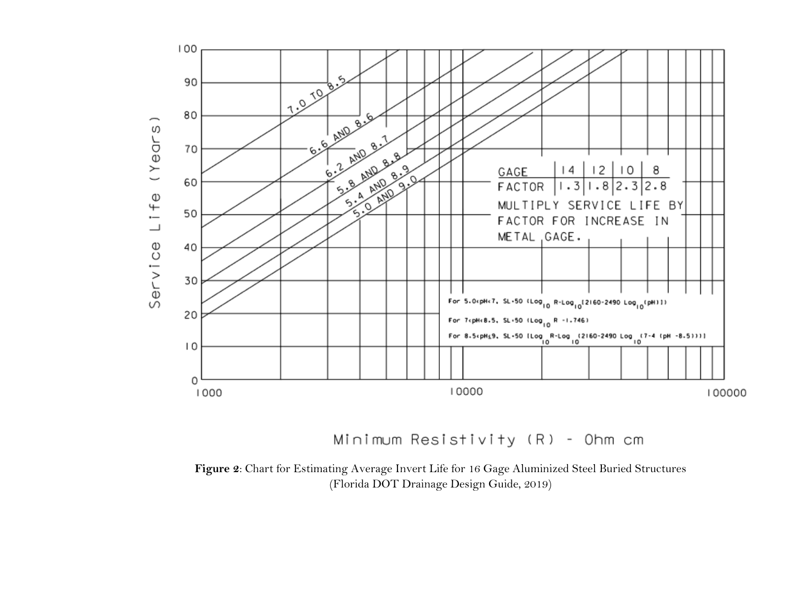

Minimum Resistivity (R) - Ohm cm

**Figure 2**: Chart for Estimating Average Invert Life for 16 Gage Aluminized Steel Buried Structures (Florida DOT Drainage Design Guide, 2019)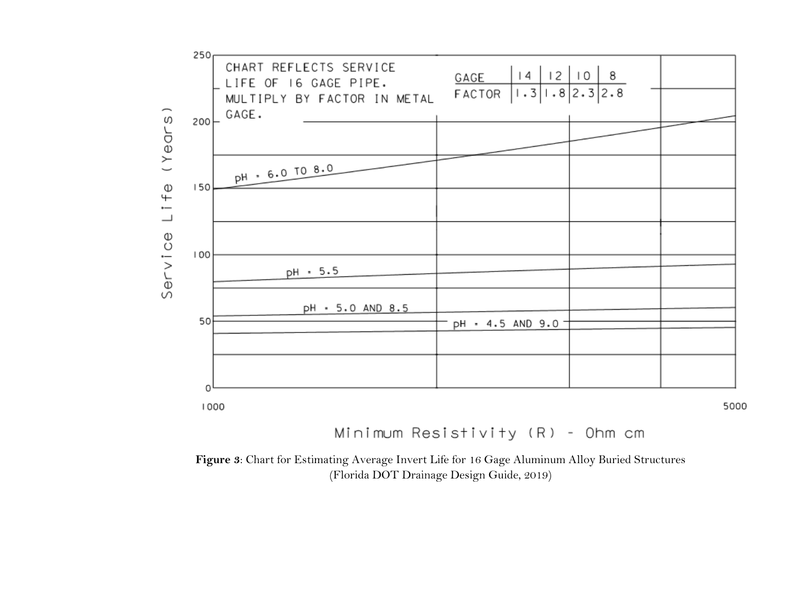

Minimum Resistivity (R) - Ohm cm

**Figure 3**: Chart for Estimating Average Invert Life for 16 Gage Aluminum Alloy Buried Structures (Florida DOT Drainage Design Guide, 2019)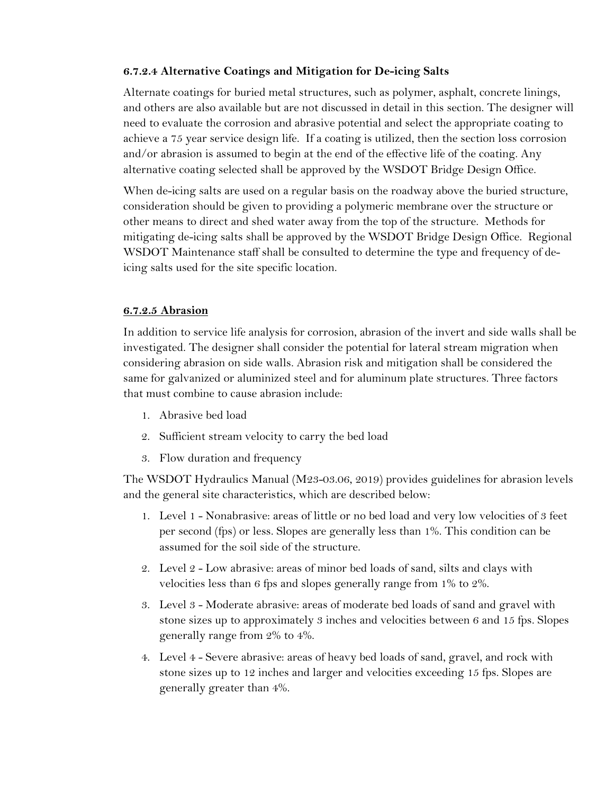#### **6.7.2.4 Alternative Coatings and Mitigation for De-icing Salts**

Alternate coatings for buried metal structures, such as polymer, asphalt, concrete linings, and others are also available but are not discussed in detail in this section. The designer will need to evaluate the corrosion and abrasive potential and select the appropriate coating to achieve a 75 year service design life. If a coating is utilized, then the section loss corrosion and/or abrasion is assumed to begin at the end of the effective life of the coating. Any alternative coating selected shall be approved by the WSDOT Bridge Design Office.

When de-icing salts are used on a regular basis on the roadway above the buried structure, consideration should be given to providing a polymeric membrane over the structure or other means to direct and shed water away from the top of the structure. Methods for mitigating de-icing salts shall be approved by the WSDOT Bridge Design Office. Regional WSDOT Maintenance staff shall be consulted to determine the type and frequency of deicing salts used for the site specific location.

#### **6.7.2.5 Abrasion**

In addition to service life analysis for corrosion, abrasion of the invert and side walls shall be investigated. The designer shall consider the potential for lateral stream migration when considering abrasion on side walls. Abrasion risk and mitigation shall be considered the same for galvanized or aluminized steel and for aluminum plate structures. Three factors that must combine to cause abrasion include:

- 1. Abrasive bed load
- 2. Sufficient stream velocity to carry the bed load
- 3. Flow duration and frequency

The WSDOT Hydraulics Manual (M23-03.06, 2019) provides guidelines for abrasion levels and the general site characteristics, which are described below:

- 1. Level 1 Nonabrasive: areas of little or no bed load and very low velocities of 3 feet per second (fps) or less. Slopes are generally less than 1%. This condition can be assumed for the soil side of the structure.
- 2. Level 2 Low abrasive: areas of minor bed loads of sand, silts and clays with velocities less than 6 fps and slopes generally range from 1% to 2%.
- 3. Level 3 Moderate abrasive: areas of moderate bed loads of sand and gravel with stone sizes up to approximately 3 inches and velocities between 6 and 15 fps. Slopes generally range from 2% to 4%.
- 4. Level 4 Severe abrasive: areas of heavy bed loads of sand, gravel, and rock with stone sizes up to 12 inches and larger and velocities exceeding 15 fps. Slopes are generally greater than 4%.